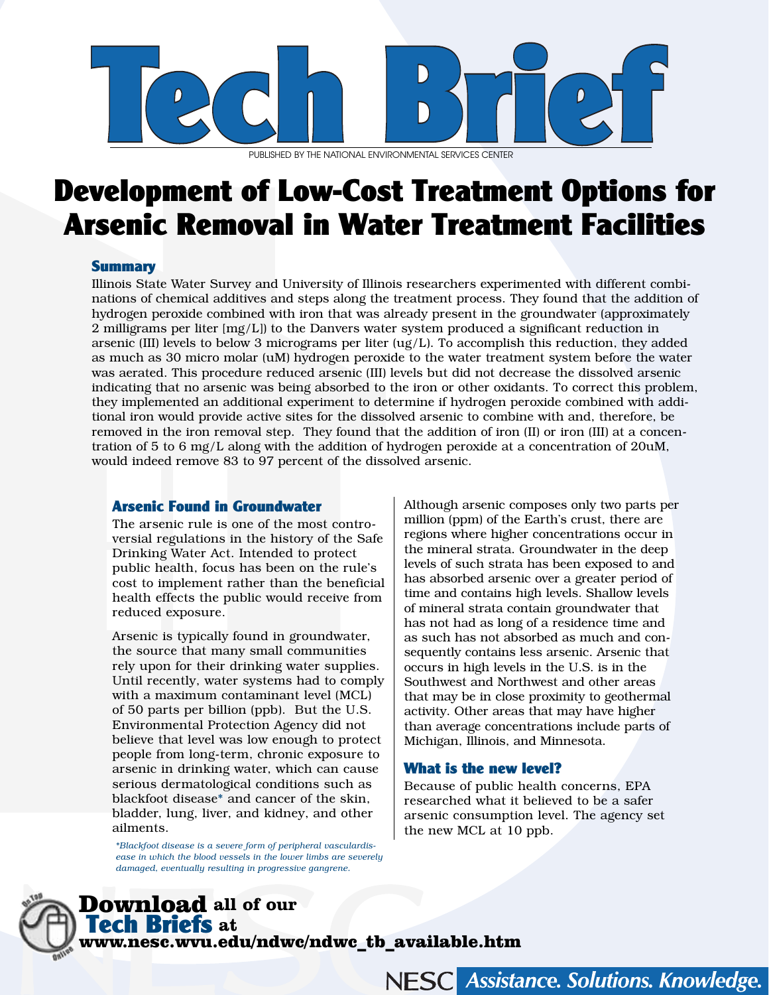

PUBLISHED BY THE NATIONAL ENVIRONMENTAL SERVICES CENTER

# Development of Low-Cost Treatment Options for Arsenic Removal in Water Treatment Facilities

## **Summary**

Illinois State Water Survey and University of Illinois researchers experimented with different combinations of chemical additives and steps along the treatment process. They found that the addition of hydrogen peroxide combined with iron that was already present in the groundwater (approximately 2 milligrams per liter [mg/L]) to the Danvers water system produced a significant reduction in arsenic (III) levels to below 3 micrograms per liter (ug/L). To accomplish this reduction, they added as much as 30 micro molar (uM) hydrogen peroxide to the water treatment system before the water was aerated. This procedure reduced arsenic (III) levels but did not decrease the dissolved arsenic indicating that no arsenic was being absorbed to the iron or other oxidants. To correct this problem, they implemented an additional experiment to determine if hydrogen peroxide combined with additional iron would provide active sites for the dissolved arsenic to combine with and, therefore, be removed in the iron removal step. They found that the addition of iron (II) or iron (III) at a concentration of 5 to 6 mg/L along with the addition of hydrogen peroxide at a concentration of 20uM, would indeed remove 83 to 97 percent of the dissolved arsenic.

## Arsenic Found in Groundwater

The arsenic rule is one of the most controversial regulations in the history of the Safe Drinking Water Act. Intended to protect public health, focus has been on the rule's cost to implement rather than the beneficial health effects the public would receive from reduced exposure.

Arsenic is typically found in groundwater, the source that many small communities rely upon for their drinking water supplies. Until recently, water systems had to comply with a maximum contaminant level (MCL) of 50 parts per billion (ppb). But the U.S. Environmental Protection Agency did not believe that level was low enough to protect people from long-term, chronic exposure to arsenic in drinking water, which can cause serious dermatological conditions such as blackfoot disease\* and cancer of the skin, bladder, lung, liver, and kidney, and other ailments.

\**Blackfoot disease is a severe form of peripheral vasculardisease in which the blood vessels in the lower limbs are severely damaged, eventually resulting in progressive gangrene.*

Although arsenic composes only two parts per million (ppm) of the Earth's crust, there are regions where higher concentrations occur in the mineral strata. Groundwater in the deep levels of such strata has been exposed to and has absorbed arsenic over a greater period of time and contains high levels. Shallow levels of mineral strata contain groundwater that has not had as long of a residence time and as such has not absorbed as much and consequently contains less arsenic. Arsenic that occurs in high levels in the U.S. is in the Southwest and Northwest and other areas that may be in close proximity to geothermal activity. Other areas that may have higher than average concentrations include parts of Michigan, Illinois, and Minnesota.

# What is the new level?

Because of public health concerns, EPA researched what it believed to be a safer arsenic consumption level. The agency set the new MCL at 10 ppb.

Download **all of our**  Tech Briefs **at**  www.nesc.wvu.edu/ndwc/ndwc\_tb\_available.htm

#### Assistance. Solutions. Knowledge. **NESC**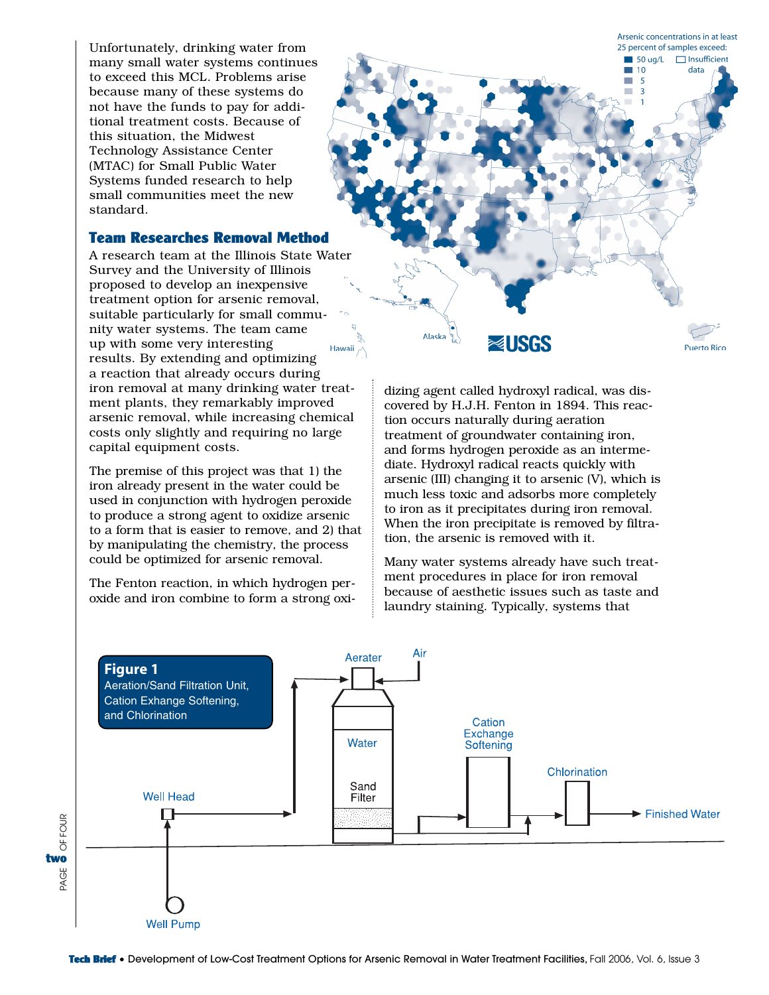Unfortunately, drinking water from many small water systems continues to exceed this MCL. Problems arise because many of these systems do not have the funds to pay for additional treatment costs. Because of this situation, the Midwest Technology Assistance Center (MTAC) for Small Public Water Systems funded research to help small communities meet the new standard.

# Team Researches Removal Method

A research team at the Illinois State Water Survey and the University of Illinois proposed to develop an inexpensive treatment option for arsenic removal, suitable particularly for small community water systems. The team came up with some very interesting results. By extending and optimizing a reaction that already occurs during iron removal at many drinking water treatment plants, they remarkably improved arsenic removal, while increasing chemical costs only slightly and requiring no large capital equipment costs.

The premise of this project was that 1) the iron already present in the water could be used in conjunction with hydrogen peroxide to produce a strong agent to oxidize arsenic to a form that is easier to remove, and 2) that by manipulating the chemistry, the process could be optimized for arsenic removal.

The Fenton reaction, in which hydrogen peroxide and iron combine to form a strong oxi-



dizing agent called hydroxyl radical, was discovered by H.J.H. Fenton in 1894. This reaction occurs naturally during aeration treatment of groundwater containing iron, and forms hydrogen peroxide as an intermediate. Hydroxyl radical reacts quickly with arsenic (III) changing it to arsenic (V), which is much less toxic and adsorbs more completely to iron as it precipitates during iron removal. When the iron precipitate is removed by filtration, the arsenic is removed with it.

Many water systems already have such treatment procedures in place for iron removal because of aesthetic issues such as taste and laundry staining. Typically, systems that

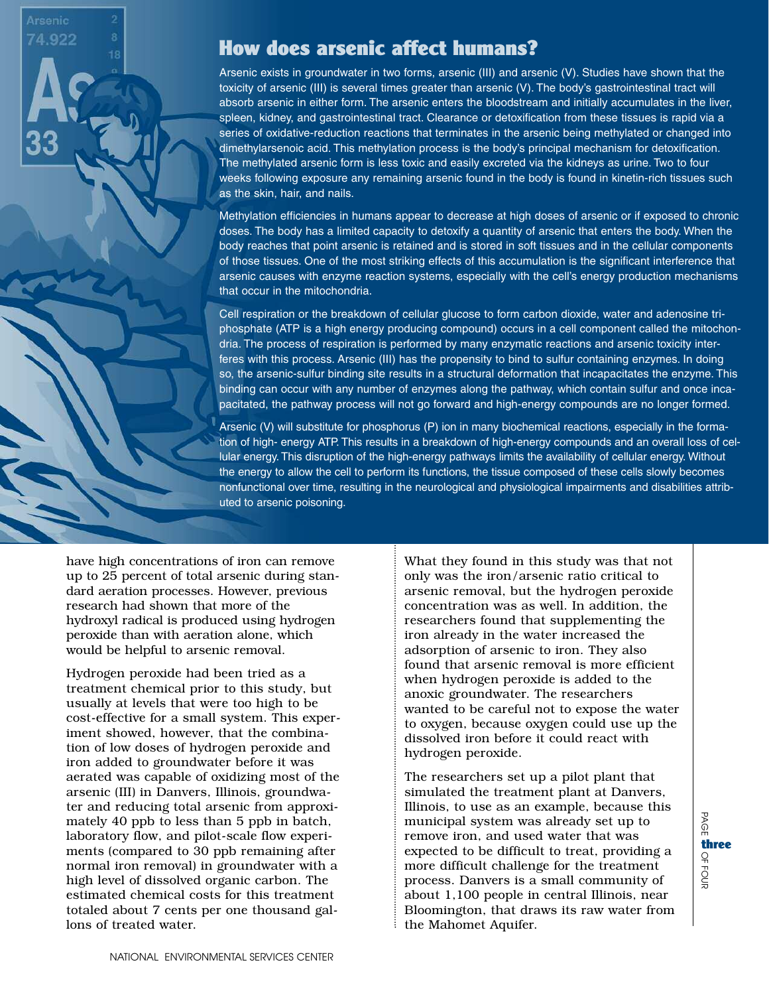$4.922$ 

# How does arsenic affect humans?

Arsenic exists in groundwater in two forms, arsenic (III) and arsenic (V). Studies have shown that the toxicity of arsenic (III) is several times greater than arsenic (V). The body's gastrointestinal tract will absorb arsenic in either form. The arsenic enters the bloodstream and initially accumulates in the liver, spleen, kidney, and gastrointestinal tract. Clearance or detoxification from these tissues is rapid via a series of oxidative-reduction reactions that terminates in the arsenic being methylated or changed into dimethylarsenoic acid. This methylation process is the body's principal mechanism for detoxification. The methylated arsenic form is less toxic and easily excreted via the kidneys as urine. Two to four weeks following exposure any remaining arsenic found in the body is found in kinetin-rich tissues such as the skin, hair, and nails.

Methylation efficiencies in humans appear to decrease at high doses of arsenic or if exposed to chronic doses. The body has a limited capacity to detoxify a quantity of arsenic that enters the body. When the body reaches that point arsenic is retained and is stored in soft tissues and in the cellular components of those tissues. One of the most striking effects of this accumulation is the significant interference that arsenic causes with enzyme reaction systems, especially with the cell's energy production mechanisms that occur in the mitochondria.

Cell respiration or the breakdown of cellular glucose to form carbon dioxide, water and adenosine triphosphate (ATP is a high energy producing compound) occurs in a cell component called the mitochondria. The process of respiration is performed by many enzymatic reactions and arsenic toxicity interferes with this process. Arsenic (III) has the propensity to bind to sulfur containing enzymes. In doing so, the arsenic-sulfur binding site results in a structural deformation that incapacitates the enzyme. This binding can occur with any number of enzymes along the pathway, which contain sulfur and once incapacitated, the pathway process will not go forward and high-energy compounds are no longer formed.

Arsenic (V) will substitute for phosphorus (P) ion in many biochemical reactions, especially in the formation of high- energy ATP. This results in a breakdown of high-energy compounds and an overall loss of cellular energy. This disruption of the high-energy pathways limits the availability of cellular energy. Without the energy to allow the cell to perform its functions, the tissue composed of these cells slowly becomes nonfunctional over time, resulting in the neurological and physiological impairments and disabilities attributed to arsenic poisoning.

have high concentrations of iron can remove up to 25 percent of total arsenic during standard aeration processes. However, previous research had shown that more of the hydroxyl radical is produced using hydrogen peroxide than with aeration alone, which would be helpful to arsenic removal.

Hydrogen peroxide had been tried as a treatment chemical prior to this study, but usually at levels that were too high to be cost-effective for a small system. This experiment showed, however, that the combination of low doses of hydrogen peroxide and iron added to groundwater before it was aerated was capable of oxidizing most of the arsenic (III) in Danvers, Illinois, groundwater and reducing total arsenic from approximately 40 ppb to less than 5 ppb in batch, laboratory flow, and pilot-scale flow experiments (compared to 30 ppb remaining after normal iron removal) in groundwater with a high level of dissolved organic carbon. The estimated chemical costs for this treatment totaled about 7 cents per one thousand gallons of treated water.

What they found in this study was that not only was the iron/arsenic ratio critical to arsenic removal, but the hydrogen peroxide concentration was as well. In addition, the researchers found that supplementing the iron already in the water increased the adsorption of arsenic to iron. They also found that arsenic removal is more efficient when hydrogen peroxide is added to the anoxic groundwater. The researchers wanted to be careful not to expose the water to oxygen, because oxygen could use up the dissolved iron before it could react with hydrogen peroxide.

The researchers set up a pilot plant that simulated the treatment plant at Danvers, Illinois, to use as an example, because this municipal system was already set up to remove iron, and used water that was expected to be difficult to treat, providing a more difficult challenge for the treatment process. Danvers is a small community of about 1,100 people in central Illinois, near Bloomington, that draws its raw water from the Mahomet Aquifer.

B  $\Omega$ 

OF 70<br>등

three